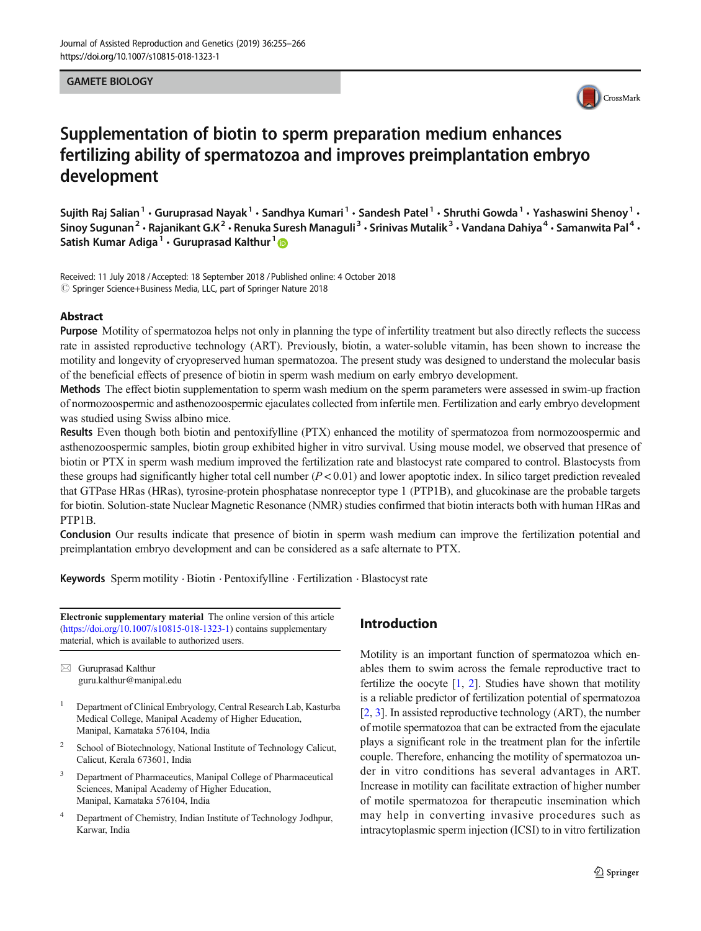#### GAMETE BIOLOGY



# Supplementation of biotin to sperm preparation medium enhances fertilizing ability of spermatozoa and improves preimplantation embryo development

Sujith Raj Salian $^1\cdot$  Guruprasad Nayak $^1\cdot$  Sandhya Kumari $^1\cdot$  Sandesh Patel $^1\cdot$  Shruthi Gowda $^1\cdot$  Yashaswini Shenoy $^1\cdot$ Sinoy Sugunan $^2$  • Rajanikant G.K $^2$  • Renuka Suresh Managuli $^3$  • Srinivas Mutalik $^3$  • Vandana Dahiya $^4$  • Samanwita Pal $^4$  • Satish Kumar Adiga<sup>1</sup> · Guruprasad Kalthur<sup>1</sup>

Received: 11 July 2018 /Accepted: 18 September 2018 /Published online: 4 October 2018 © Springer Science+Business Media, LLC, part of Springer Nature 2018

#### Abstract

Purpose Motility of spermatozoa helps not only in planning the type of infertility treatment but also directly reflects the success rate in assisted reproductive technology (ART). Previously, biotin, a water-soluble vitamin, has been shown to increase the motility and longevity of cryopreserved human spermatozoa. The present study was designed to understand the molecular basis of the beneficial effects of presence of biotin in sperm wash medium on early embryo development.

Methods The effect biotin supplementation to sperm wash medium on the sperm parameters were assessed in swim-up fraction of normozoospermic and asthenozoospermic ejaculates collected from infertile men. Fertilization and early embryo development was studied using Swiss albino mice.

Results Even though both biotin and pentoxifylline (PTX) enhanced the motility of spermatozoa from normozoospermic and asthenozoospermic samples, biotin group exhibited higher in vitro survival. Using mouse model, we observed that presence of biotin or PTX in sperm wash medium improved the fertilization rate and blastocyst rate compared to control. Blastocysts from these groups had significantly higher total cell number  $(P < 0.01)$  and lower apoptotic index. In silico target prediction revealed that GTPase HRas (HRas), tyrosine-protein phosphatase nonreceptor type 1 (PTP1B), and glucokinase are the probable targets for biotin. Solution-state Nuclear Magnetic Resonance (NMR) studies confirmed that biotin interacts both with human HRas and PTP1B.

Conclusion Our results indicate that presence of biotin in sperm wash medium can improve the fertilization potential and preimplantation embryo development and can be considered as a safe alternate to PTX.

Keywords Sperm motility . Biotin . Pentoxifylline . Fertilization . Blastocyst rate

Electronic supplementary material The online version of this article (<https://doi.org/10.1007/s10815-018-1323-1>) contains supplementary material, which is available to authorized users.

 $\boxtimes$  Guruprasad Kalthur [guru.kalthur@manipal.edu](mailto:guru.kalthur@manipal.edu)

- <sup>1</sup> Department of Clinical Embryology, Central Research Lab, Kasturba Medical College, Manipal Academy of Higher Education, Manipal, Karnataka 576104, India
- 2 School of Biotechnology, National Institute of Technology Calicut, Calicut, Kerala 673601, India
- <sup>3</sup> Department of Pharmaceutics, Manipal College of Pharmaceutical Sciences, Manipal Academy of Higher Education, Manipal, Karnataka 576104, India
- <sup>4</sup> Department of Chemistry, Indian Institute of Technology Jodhpur, Karwar, India

### Introduction

Motility is an important function of spermatozoa which enables them to swim across the female reproductive tract to fertilize the oocyte  $[1, 2]$  $[1, 2]$  $[1, 2]$  $[1, 2]$ . Studies have shown that motility is a reliable predictor of fertilization potential of spermatozoa [\[2](#page-10-0), [3\]](#page-10-0). In assisted reproductive technology (ART), the number of motile spermatozoa that can be extracted from the ejaculate plays a significant role in the treatment plan for the infertile couple. Therefore, enhancing the motility of spermatozoa under in vitro conditions has several advantages in ART. Increase in motility can facilitate extraction of higher number of motile spermatozoa for therapeutic insemination which may help in converting invasive procedures such as intracytoplasmic sperm injection (ICSI) to in vitro fertilization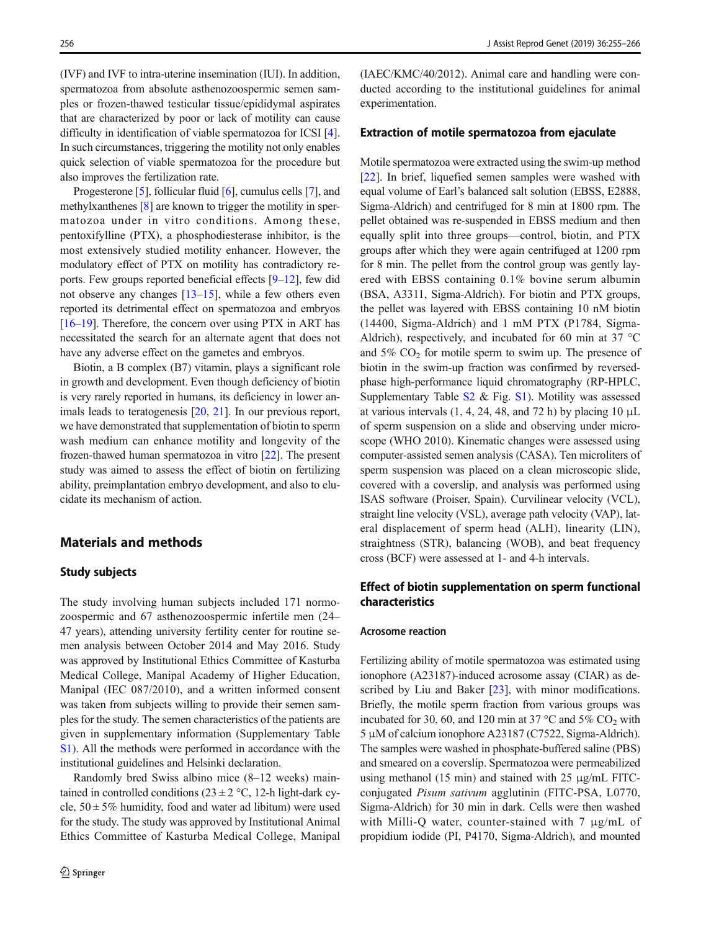(IVF) and IVF to intra-uterine insemination (IUI). In addition, spermatozoa from absolute asthenozoospermic semen samples or frozen-thawed testicular tissue/epididymal aspirates that are characterized by poor or lack of motility can cause difficulty in identification of viable spermatozoa for ICSI [[4\]](#page-10-0). In such circumstances, triggering the motility not only enables quick selection of viable spermatozoa for the procedure but also improves the fertilization rate.

Progesterone [\[5](#page-10-0)], follicular fluid [[6](#page-10-0)], cumulus cells [\[7](#page-10-0)], and methylxanthenes [\[8\]](#page-10-0) are known to trigger the motility in spermatozoa under in vitro conditions. Among these, pentoxifylline (PTX), a phosphodiesterase inhibitor, is the most extensively studied motility enhancer. However, the modulatory effect of PTX on motility has contradictory reports. Few groups reported beneficial effects  $[9-12]$  $[9-12]$  $[9-12]$ , few did not observe any changes  $[13-15]$  $[13-15]$  $[13-15]$  $[13-15]$  $[13-15]$ , while a few others even reported its detrimental effect on spermatozoa and embryos [\[16](#page-10-0)–[19\]](#page-10-0). Therefore, the concern over using PTX in ART has necessitated the search for an alternate agent that does not have any adverse effect on the gametes and embryos.

Biotin, a B complex (B7) vitamin, plays a significant role in growth and development. Even though deficiency of biotin is very rarely reported in humans, its deficiency in lower an-imals leads to teratogenesis [[20](#page-10-0), [21\]](#page-10-0). In our previous report, we have demonstrated that supplementation of biotin to sperm wash medium can enhance motility and longevity of the frozen-thawed human spermatozoa in vitro [\[22\]](#page-10-0). The present study was aimed to assess the effect of biotin on fertilizing ability, preimplantation embryo development, and also to elucidate its mechanism of action.

### Materials and methods

#### Study subjects

The study involving human subjects included 171 normozoospermic and 67 asthenozoospermic infertile men (24– 47 years), attending university fertility center for routine semen analysis between October 2014 and May 2016. Study was approved by Institutional Ethics Committee of Kasturba Medical College, Manipal Academy of Higher Education, Manipal (IEC 087/2010), and a written informed consent was taken from subjects willing to provide their semen samples for the study. The semen characteristics of the patients are given in supplementary information (Supplementary Table S1). All the methods were performed in accordance with the institutional guidelines and Helsinki declaration.

Randomly bred Swiss albino mice (8–12 weeks) maintained in controlled conditions ( $23 \pm 2$  °C, 12-h light-dark cycle,  $50 \pm 5\%$  humidity, food and water ad libitum) were used for the study. The study was approved by Institutional Animal Ethics Committee of Kasturba Medical College, Manipal (IAEC/KMC/40/2012). Animal care and handling were conducted according to the institutional guidelines for animal experimentation.

### Extraction of motile spermatozoa from ejaculate

Motile spermatozoa were extracted using the swim-up method [\[22](#page-10-0)]. In brief, liquefied semen samples were washed with equal volume of Earl's balanced salt solution (EBSS, E2888, Sigma-Aldrich) and centrifuged for 8 min at 1800 rpm. The pellet obtained was re-suspended in EBSS medium and then equally split into three groups—control, biotin, and PTX groups after which they were again centrifuged at 1200 rpm for 8 min. The pellet from the control group was gently layered with EBSS containing 0.1% bovine serum albumin (BSA, A3311, Sigma-Aldrich). For biotin and PTX groups, the pellet was layered with EBSS containing 10 nM biotin (14400, Sigma-Aldrich) and 1 mM PTX (P1784, Sigma-Aldrich), respectively, and incubated for 60 min at 37 °C and  $5\%$  CO<sub>2</sub> for motile sperm to swim up. The presence of biotin in the swim-up fraction was confirmed by reversedphase high-performance liquid chromatography (RP-HPLC, Supplementary Table S2 & Fig. S1). Motility was assessed at various intervals  $(1, 4, 24, 48, \text{ and } 72 \text{ h})$  by placing 10  $\mu$ L of sperm suspension on a slide and observing under microscope (WHO 2010). Kinematic changes were assessed using computer-assisted semen analysis (CASA). Ten microliters of sperm suspension was placed on a clean microscopic slide, covered with a coverslip, and analysis was performed using ISAS software (Proiser, Spain). Curvilinear velocity (VCL), straight line velocity (VSL), average path velocity (VAP), lateral displacement of sperm head (ALH), linearity (LIN), straightness (STR), balancing (WOB), and beat frequency cross (BCF) were assessed at 1- and 4-h intervals.

### Effect of biotin supplementation on sperm functional characteristics

#### Acrosome reaction

Fertilizing ability of motile spermatozoa was estimated using ionophore (A23187)-induced acrosome assay (CIAR) as de-scribed by Liu and Baker [[23\]](#page-11-0), with minor modifications. Briefly, the motile sperm fraction from various groups was incubated for 30, 60, and 120 min at 37  $\degree$ C and 5% CO<sub>2</sub> with 5 μM of calcium ionophore A23187 (C7522, Sigma-Aldrich). The samples were washed in phosphate-buffered saline (PBS) and smeared on a coverslip. Spermatozoa were permeabilized using methanol (15 min) and stained with 25 μg/mL FITCconjugated Pisum sativum agglutinin (FITC-PSA, L0770, Sigma-Aldrich) for 30 min in dark. Cells were then washed with Milli-Q water, counter-stained with 7 μg/mL of propidium iodide (PI, P4170, Sigma-Aldrich), and mounted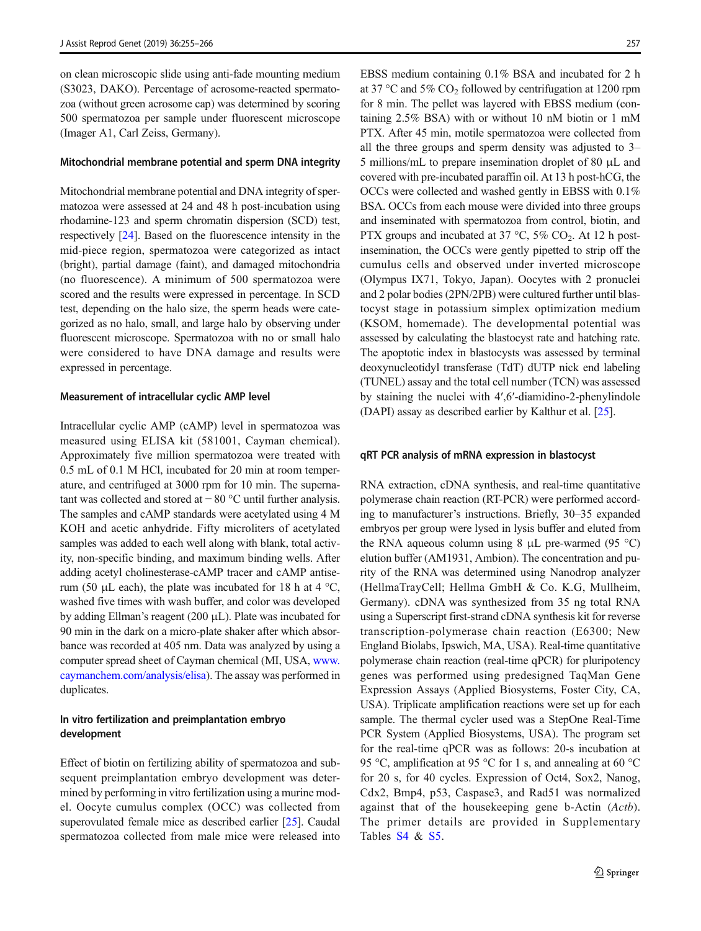on clean microscopic slide using anti-fade mounting medium (S3023, DAKO). Percentage of acrosome-reacted spermatozoa (without green acrosome cap) was determined by scoring 500 spermatozoa per sample under fluorescent microscope (Imager A1, Carl Zeiss, Germany).

### Mitochondrial membrane potential and sperm DNA integrity

Mitochondrial membrane potential and DNA integrity of spermatozoa were assessed at 24 and 48 h post-incubation using rhodamine-123 and sperm chromatin dispersion (SCD) test, respectively [\[24\]](#page-11-0). Based on the fluorescence intensity in the mid-piece region, spermatozoa were categorized as intact (bright), partial damage (faint), and damaged mitochondria (no fluorescence). A minimum of 500 spermatozoa were scored and the results were expressed in percentage. In SCD test, depending on the halo size, the sperm heads were categorized as no halo, small, and large halo by observing under fluorescent microscope. Spermatozoa with no or small halo were considered to have DNA damage and results were expressed in percentage.

#### Measurement of intracellular cyclic AMP level

Intracellular cyclic AMP (cAMP) level in spermatozoa was measured using ELISA kit (581001, Cayman chemical). Approximately five million spermatozoa were treated with 0.5 mL of 0.1 M HCl, incubated for 20 min at room temperature, and centrifuged at 3000 rpm for 10 min. The supernatant was collected and stored at − 80 °C until further analysis. The samples and cAMP standards were acetylated using 4 M KOH and acetic anhydride. Fifty microliters of acetylated samples was added to each well along with blank, total activity, non-specific binding, and maximum binding wells. After adding acetyl cholinesterase-cAMP tracer and cAMP antiserum (50 μL each), the plate was incubated for 18 h at 4  $^{\circ}C$ , washed five times with wash buffer, and color was developed by adding Ellman's reagent (200 μL). Plate was incubated for 90 min in the dark on a micro-plate shaker after which absorbance was recorded at 405 nm. Data was analyzed by using a computer spread sheet of Cayman chemical (MI, USA, [www.](http://www.caymanchem.com/analysis/elisa) [caymanchem.com/analysis/elisa](http://www.caymanchem.com/analysis/elisa)). The assay was performed in duplicates.

### In vitro fertilization and preimplantation embryo development

Effect of biotin on fertilizing ability of spermatozoa and subsequent preimplantation embryo development was determined by performing in vitro fertilization using a murine model. Oocyte cumulus complex (OCC) was collected from superovulated female mice as described earlier [[25\]](#page-11-0). Caudal spermatozoa collected from male mice were released into

EBSS medium containing 0.1% BSA and incubated for 2 h at 37 °C and 5%  $CO_2$  followed by centrifugation at 1200 rpm for 8 min. The pellet was layered with EBSS medium (containing 2.5% BSA) with or without 10 nM biotin or 1 mM PTX. After 45 min, motile spermatozoa were collected from all the three groups and sperm density was adjusted to 3– 5 millions/mL to prepare insemination droplet of 80 μL and covered with pre-incubated paraffin oil. At 13 h post-hCG, the OCCs were collected and washed gently in EBSS with 0.1% BSA. OCCs from each mouse were divided into three groups and inseminated with spermatozoa from control, biotin, and PTX groups and incubated at 37 °C, 5% CO<sub>2</sub>. At 12 h postinsemination, the OCCs were gently pipetted to strip off the cumulus cells and observed under inverted microscope (Olympus IX71, Tokyo, Japan). Oocytes with 2 pronuclei and 2 polar bodies (2PN/2PB) were cultured further until blastocyst stage in potassium simplex optimization medium (KSOM, homemade). The developmental potential was assessed by calculating the blastocyst rate and hatching rate. The apoptotic index in blastocysts was assessed by terminal deoxynucleotidyl transferase (TdT) dUTP nick end labeling (TUNEL) assay and the total cell number (TCN) was assessed by staining the nuclei with 4′,6′-diamidino-2-phenylindole (DAPI) assay as described earlier by Kalthur et al. [[25\]](#page-11-0).

#### qRT PCR analysis of mRNA expression in blastocyst

RNA extraction, cDNA synthesis, and real-time quantitative polymerase chain reaction (RT-PCR) were performed according to manufacturer's instructions. Briefly, 30–35 expanded embryos per group were lysed in lysis buffer and eluted from the RNA aqueous column using 8  $\mu$ L pre-warmed (95 °C) elution buffer (AM1931, Ambion). The concentration and purity of the RNA was determined using Nanodrop analyzer (HellmaTrayCell; Hellma GmbH & Co. K.G, Mullheim, Germany). cDNA was synthesized from 35 ng total RNA using a Superscript first-strand cDNA synthesis kit for reverse transcription-polymerase chain reaction (E6300; New England Biolabs, Ipswich, MA, USA). Real-time quantitative polymerase chain reaction (real-time qPCR) for pluripotency genes was performed using predesigned TaqMan Gene Expression Assays (Applied Biosystems, Foster City, CA, USA). Triplicate amplification reactions were set up for each sample. The thermal cycler used was a StepOne Real-Time PCR System (Applied Biosystems, USA). The program set for the real-time qPCR was as follows: 20-s incubation at 95 °C, amplification at 95 °C for 1 s, and annealing at 60 °C for 20 s, for 40 cycles. Expression of Oct4, Sox2, Nanog, Cdx2, Bmp4, p53, Caspase3, and Rad51 was normalized against that of the housekeeping gene b-Actin (Actb). The primer details are provided in Supplementary Tables S<sub>4</sub> & S<sub>5</sub>.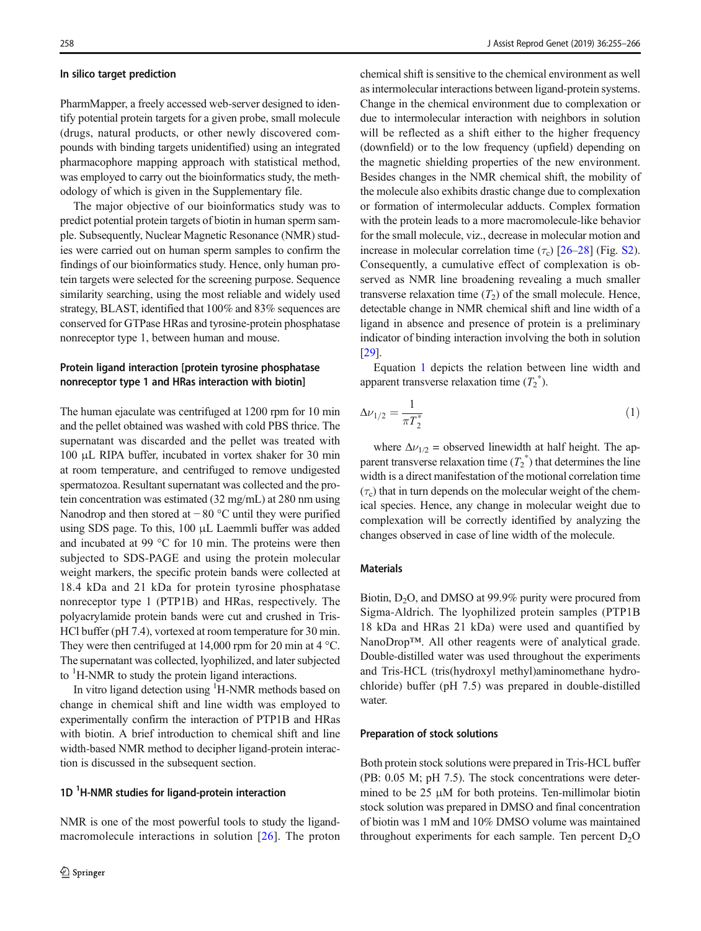#### In silico target prediction

PharmMapper, a freely accessed web-server designed to identify potential protein targets for a given probe, small molecule (drugs, natural products, or other newly discovered compounds with binding targets unidentified) using an integrated pharmacophore mapping approach with statistical method, was employed to carry out the bioinformatics study, the methodology of which is given in the Supplementary file.

The major objective of our bioinformatics study was to predict potential protein targets of biotin in human sperm sample. Subsequently, Nuclear Magnetic Resonance (NMR) studies were carried out on human sperm samples to confirm the findings of our bioinformatics study. Hence, only human protein targets were selected for the screening purpose. Sequence similarity searching, using the most reliable and widely used strategy, BLAST, identified that 100% and 83% sequences are conserved for GTPase HRas and tyrosine-protein phosphatase nonreceptor type 1, between human and mouse.

### Protein ligand interaction [protein tyrosine phosphatase nonreceptor type 1 and HRas interaction with biotin]

The human ejaculate was centrifuged at 1200 rpm for 10 min and the pellet obtained was washed with cold PBS thrice. The supernatant was discarded and the pellet was treated with 100 μL RIPA buffer, incubated in vortex shaker for 30 min at room temperature, and centrifuged to remove undigested spermatozoa. Resultant supernatant was collected and the protein concentration was estimated (32 mg/mL) at 280 nm using Nanodrop and then stored at − 80 °C until they were purified using SDS page. To this, 100 μL Laemmli buffer was added and incubated at 99 °C for 10 min. The proteins were then subjected to SDS-PAGE and using the protein molecular weight markers, the specific protein bands were collected at 18.4 kDa and 21 kDa for protein tyrosine phosphatase nonreceptor type 1 (PTP1B) and HRas, respectively. The polyacrylamide protein bands were cut and crushed in Tris-HCl buffer (pH 7.4), vortexed at room temperature for 30 min. They were then centrifuged at 14,000 rpm for 20 min at 4 °C. The supernatant was collected, lyophilized, and later subjected to  ${}^{1}$ H-NMR to study the protein ligand interactions.

In vitro ligand detection using <sup>1</sup>H-NMR methods based on change in chemical shift and line width was employed to experimentally confirm the interaction of PTP1B and HRas with biotin. A brief introduction to chemical shift and line width-based NMR method to decipher ligand-protein interaction is discussed in the subsequent section.

## 1D <sup>1</sup>H-NMR studies for ligand-protein interaction

NMR is one of the most powerful tools to study the ligandmacromolecule interactions in solution [\[26\]](#page-11-0). The proton chemical shift is sensitive to the chemical environment as well as intermolecular interactions between ligand-protein systems. Change in the chemical environment due to complexation or due to intermolecular interaction with neighbors in solution will be reflected as a shift either to the higher frequency (downfield) or to the low frequency (upfield) depending on the magnetic shielding properties of the new environment. Besides changes in the NMR chemical shift, the mobility of the molecule also exhibits drastic change due to complexation or formation of intermolecular adducts. Complex formation with the protein leads to a more macromolecule-like behavior for the small molecule, viz., decrease in molecular motion and increase in molecular correlation time  $(\tau_c)$  [\[26](#page-11-0)–[28\]](#page-11-0) (Fig. S2). Consequently, a cumulative effect of complexation is observed as NMR line broadening revealing a much smaller transverse relaxation time  $(T_2)$  of the small molecule. Hence, detectable change in NMR chemical shift and line width of a ligand in absence and presence of protein is a preliminary indicator of binding interaction involving the both in solution [\[29](#page-11-0)].

Equation 1 depicts the relation between line width and apparent transverse relaxation time  $(T_2^*)$ .

$$
\Delta\nu_{1/2} = \frac{1}{\pi T_2^*} \tag{1}
$$

where  $\Delta \nu_{1/2}$  = observed linewidth at half height. The apparent transverse relaxation time  $(T_2^*)$  that determines the line width is a direct manifestation of the motional correlation time  $(\tau_c)$  that in turn depends on the molecular weight of the chemical species. Hence, any change in molecular weight due to complexation will be correctly identified by analyzing the changes observed in case of line width of the molecule.

#### **Materials**

Biotin,  $D_2O$ , and DMSO at 99.9% purity were procured from Sigma-Aldrich. The lyophilized protein samples (PTP1B 18 kDa and HRas 21 kDa) were used and quantified by NanoDrop™. All other reagents were of analytical grade. Double-distilled water was used throughout the experiments and Tris-HCL (tris(hydroxyl methyl)aminomethane hydrochloride) buffer (pH 7.5) was prepared in double-distilled water.

#### Preparation of stock solutions

Both protein stock solutions were prepared in Tris-HCL buffer (PB: 0.05 M; pH 7.5). The stock concentrations were determined to be 25 μM for both proteins. Ten-millimolar biotin stock solution was prepared in DMSO and final concentration of biotin was 1 mM and 10% DMSO volume was maintained throughout experiments for each sample. Ten percent  $D_2O$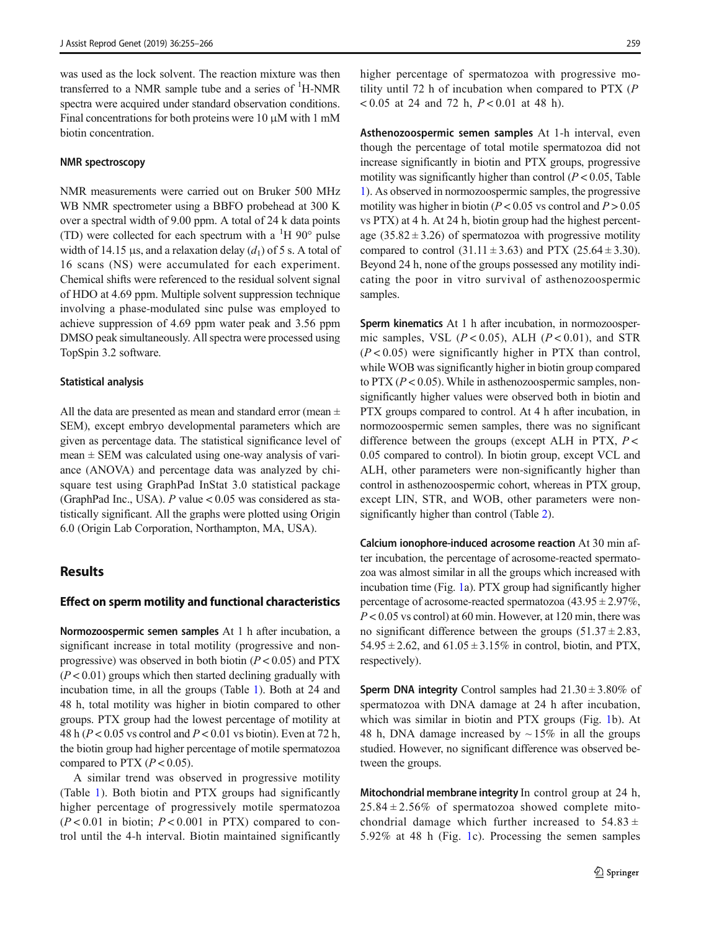was used as the lock solvent. The reaction mixture was then transferred to a NMR sample tube and a series of  ${}^{1}$ H-NMR spectra were acquired under standard observation conditions. Final concentrations for both proteins were 10 μM with 1 mM biotin concentration.

#### NMR spectroscopy

NMR measurements were carried out on Bruker 500 MHz WB NMR spectrometer using a BBFO probehead at 300 K over a spectral width of 9.00 ppm. A total of 24 k data points (TD) were collected for each spectrum with a  $\rm{^{1}H}$  90 $\rm{^{\circ}}$  pulse width of 14.15 μs, and a relaxation delay  $(d_1)$  of 5 s. A total of 16 scans (NS) were accumulated for each experiment. Chemical shifts were referenced to the residual solvent signal of HDO at 4.69 ppm. Multiple solvent suppression technique involving a phase-modulated sinc pulse was employed to achieve suppression of 4.69 ppm water peak and 3.56 ppm DMSO peak simultaneously. All spectra were processed using TopSpin 3.2 software.

#### Statistical analysis

All the data are presented as mean and standard error (mean  $\pm$ SEM), except embryo developmental parameters which are given as percentage data. The statistical significance level of mean  $\pm$  SEM was calculated using one-way analysis of variance (ANOVA) and percentage data was analyzed by chisquare test using GraphPad InStat 3.0 statistical package (GraphPad Inc., USA).  $P$  value < 0.05 was considered as statistically significant. All the graphs were plotted using Origin 6.0 (Origin Lab Corporation, Northampton, MA, USA).

### **Results**

#### Effect on sperm motility and functional characteristics

Normozoospermic semen samples At 1 h after incubation, a significant increase in total motility (progressive and nonprogressive) was observed in both biotin  $(P < 0.05)$  and PTX  $(P<0.01)$  groups which then started declining gradually with incubation time, in all the groups (Table [1](#page-5-0)). Both at 24 and 48 h, total motility was higher in biotin compared to other groups. PTX group had the lowest percentage of motility at 48 h ( $P < 0.05$  vs control and  $P < 0.01$  vs biotin). Even at 72 h, the biotin group had higher percentage of motile spermatozoa compared to PTX  $(P < 0.05)$ .

A similar trend was observed in progressive motility (Table [1\)](#page-5-0). Both biotin and PTX groups had significantly higher percentage of progressively motile spermatozoa  $(P<0.01$  in biotin;  $P<0.001$  in PTX) compared to control until the 4-h interval. Biotin maintained significantly higher percentage of spermatozoa with progressive motility until 72 h of incubation when compared to PTX  $(P)$  $< 0.05$  at 24 and 72 h,  $P < 0.01$  at 48 h).

Asthenozoospermic semen samples At 1-h interval, even though the percentage of total motile spermatozoa did not increase significantly in biotin and PTX groups, progressive motility was significantly higher than control  $(P< 0.05$ , Table [1](#page-5-0)). As observed in normozoospermic samples, the progressive motility was higher in biotin ( $P < 0.05$  vs control and  $P > 0.05$ vs PTX) at 4 h. At 24 h, biotin group had the highest percentage  $(35.82 \pm 3.26)$  of spermatozoa with progressive motility compared to control  $(31.11 \pm 3.63)$  and PTX  $(25.64 \pm 3.30)$ . Beyond 24 h, none of the groups possessed any motility indicating the poor in vitro survival of asthenozoospermic samples.

Sperm kinematics At 1 h after incubation, in normozoospermic samples, VSL  $(P < 0.05)$ , ALH  $(P < 0.01)$ , and STR  $(P < 0.05)$  were significantly higher in PTX than control, while WOB was significantly higher in biotin group compared to  $PTX (P<0.05)$ . While in asthenozoospermic samples, nonsignificantly higher values were observed both in biotin and PTX groups compared to control. At 4 h after incubation, in normozoospermic semen samples, there was no significant difference between the groups (except ALH in PTX,  $P$  < 0.05 compared to control). In biotin group, except VCL and ALH, other parameters were non-significantly higher than control in asthenozoospermic cohort, whereas in PTX group, except LIN, STR, and WOB, other parameters were nonsignificantly higher than control (Table [2\)](#page-5-0).

Calcium ionophore-induced acrosome reaction At 30 min after incubation, the percentage of acrosome-reacted spermatozoa was almost similar in all the groups which increased with incubation time (Fig. [1a](#page-6-0)). PTX group had significantly higher percentage of acrosome-reacted spermatozoa  $(43.95 \pm 2.97\%)$ ,  $P < 0.05$  vs control) at 60 min. However, at 120 min, there was no significant difference between the groups  $(51.37 \pm 2.83,$  $54.95 \pm 2.62$ , and  $61.05 \pm 3.15\%$  in control, biotin, and PTX, respectively).

**Sperm DNA integrity** Control samples had  $21.30 \pm 3.80\%$  of spermatozoa with DNA damage at 24 h after incubation, which was similar in biotin and PTX groups (Fig. [1](#page-6-0)b). At 48 h, DNA damage increased by  $\sim$  15% in all the groups studied. However, no significant difference was observed between the groups.

Mitochondrial membrane integrity In control group at 24 h,  $25.84 \pm 2.56\%$  of spermatozoa showed complete mitochondrial damage which further increased to  $54.83 \pm$ 5.92% at 48 h (Fig. [1c](#page-6-0)). Processing the semen samples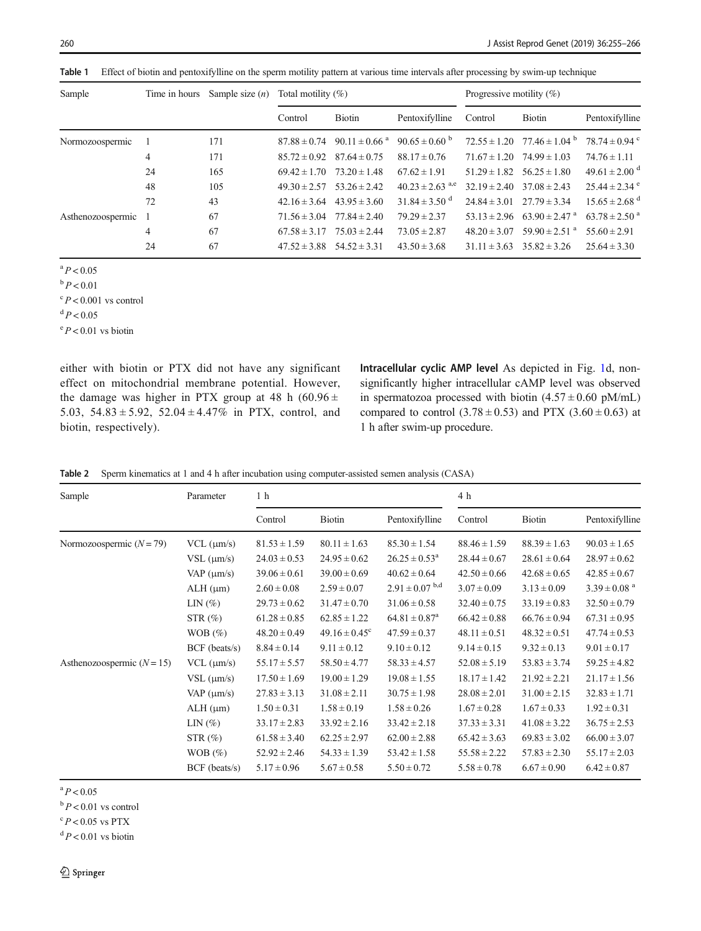<span id="page-5-0"></span>Table 1 Effect of biotin and pentoxifylline on the sperm motility pattern at various time intervals after processing by swim-up technique

| Sample              | Time in hours | Sample size $(n)$ | Total motility $(\%)$ |                               |                                 | Progressive motility $(\%)$       |                                                |                               |
|---------------------|---------------|-------------------|-----------------------|-------------------------------|---------------------------------|-----------------------------------|------------------------------------------------|-------------------------------|
|                     |               |                   | Control               | <b>Biotin</b>                 | Pentoxifylline                  | Control                           | <b>Biotin</b>                                  | Pentoxifylline                |
| Normozoospermic     |               | 171               | $87.88 \pm 0.74$      | $90.11 \pm 0.66$ <sup>a</sup> | $90.65 \pm 0.60^{b}$            |                                   | $72.55 \pm 1.20$ $77.46 \pm 1.04$ <sup>b</sup> | 78.74 $\pm$ 0.94 $\degree$    |
|                     | 4             | 171               | $85.72 \pm 0.92$      | $87.64 \pm 0.75$              | $88.17 \pm 0.76$                | $71.67 \pm 1.20$ $74.99 \pm 1.03$ |                                                | $74.76 \pm 1.11$              |
|                     | 24            | 165               | $69.42 \pm 1.70$      | $73.20 \pm 1.48$              | $67.62 \pm 1.91$                | $51.29 \pm 1.82$                  | $56.25 \pm 1.80$                               | $49.61 \pm 2.00$ <sup>d</sup> |
|                     | 48            | 105               | $49.30 \pm 2.57$      | $53.26 \pm 2.42$              | $40.23 \pm 2.63$ <sup>a,e</sup> | $32.19 \pm 2.40$                  | $37.08 \pm 2.43$                               | $25.44 \pm 2.34$ °            |
|                     | 72            | 43                | $42.16 \pm 3.64$      | $43.95 \pm 3.60$              | $31.84 \pm 3.50$ <sup>d</sup>   |                                   | $24.84 \pm 3.01$ $27.79 \pm 3.34$              | $15.65 \pm 2.68$ <sup>d</sup> |
| Asthenozoospermic 1 |               | 67                | $71.56 \pm 3.04$      | $77.84 \pm 2.40$              | $79.29 \pm 2.37$                |                                   | $53.13 \pm 2.96$ $63.90 \pm 2.47$ <sup>a</sup> | $63.78 \pm 2.50$ <sup>a</sup> |
|                     | 4             | 67                | $67.58 \pm 3.17$      | $75.03 \pm 2.44$              | $73.05 \pm 2.87$                | $48.20 \pm 3.07$                  | $59.90 \pm 2.51$ <sup>a</sup>                  | $55.60 \pm 2.91$              |
|                     | 24            | 67                | $47.52 \pm 3.88$      | $54.52 \pm 3.31$              | $43.50 \pm 3.68$                | $31.11 \pm 3.63$                  | $35.82 \pm 3.26$                               | $25.64 \pm 3.30$              |
|                     |               |                   |                       |                               |                                 |                                   |                                                |                               |

 $\binom{a}{P}$  < 0.05

 $b$   $P < 0.01$ 

 $\degree P$  < 0.001 vs control

 $dP < 0.05$ 

 $\mathrm{e}^{\mathrm{e}} P$  < 0.01 vs biotin

either with biotin or PTX did not have any significant effect on mitochondrial membrane potential. However, the damage was higher in PTX group at 48 h (60.96  $\pm$ 5.03,  $54.83 \pm 5.92$ ,  $52.04 \pm 4.47\%$  in PTX, control, and biotin, respectively).

Intracellular cyclic AMP level As depicted in Fig. [1d](#page-6-0), nonsignificantly higher intracellular cAMP level was observed in spermatozoa processed with biotin  $(4.57 \pm 0.60 \text{ pM/mL})$ compared to control  $(3.78 \pm 0.53)$  and PTX  $(3.60 \pm 0.63)$  at 1 h after swim-up procedure.

|  | Table 2 Sperm kinematics at 1 and 4 h after incubation using computer-assisted semen analysis (CASA) |  |  |  |  |  |
|--|------------------------------------------------------------------------------------------------------|--|--|--|--|--|
|--|------------------------------------------------------------------------------------------------------|--|--|--|--|--|

| Sample                       | Parameter          | 1 h              |                               |                               | 4 h              |                  |                              |
|------------------------------|--------------------|------------------|-------------------------------|-------------------------------|------------------|------------------|------------------------------|
|                              |                    | Control          | <b>Biotin</b>                 | Pentoxifylline                | Control          | <b>Biotin</b>    | Pentoxifylline               |
| Normozoospermic $(N = 79)$   | $VCL$ ( $\mu$ m/s) | $81.53 \pm 1.59$ | $80.11 \pm 1.63$              | $85.30 \pm 1.54$              | $88.46 \pm 1.59$ | $88.39 \pm 1.63$ | $90.03 \pm 1.65$             |
|                              | $VSL$ ( $\mu$ m/s) | $24.03 \pm 0.53$ | $24.95 \pm 0.62$              | $26.25 \pm 0.53^{\text{a}}$   | $28.44 \pm 0.67$ | $28.61 \pm 0.64$ | $28.97 \pm 0.62$             |
|                              | VAP $(\mu m/s)$    | $39.06 \pm 0.61$ | $39.00 \pm 0.69$              | $40.62 \pm 0.64$              | $42.50 \pm 0.66$ | $42.68 \pm 0.65$ | $42.85 \pm 0.67$             |
|                              | $ALH$ ( $\mu$ m)   | $2.60 \pm 0.08$  | $2.59 \pm 0.07$               | $2.91 \pm 0.07$ b,d           | $3.07 \pm 0.09$  | $3.13 \pm 0.09$  | $3.39 \pm 0.08$ <sup>a</sup> |
|                              | LIN(%)             | $29.73 \pm 0.62$ | $31.47 \pm 0.70$              | $31.06 \pm 0.58$              | $32.40 \pm 0.75$ | $33.19 \pm 0.83$ | $32.50 \pm 0.79$             |
|                              | $STR(\%)$          | $61.28 \pm 0.85$ | $62.85 \pm 1.22$              | $64.81 \pm 0.87$ <sup>a</sup> | $66.42 \pm 0.88$ | $66.76 \pm 0.94$ | $67.31 \pm 0.95$             |
|                              | WOB $(\%)$         | $48.20 \pm 0.49$ | $49.16 \pm 0.45$ <sup>c</sup> | $47.59 \pm 0.37$              | $48.11 \pm 0.51$ | $48.32 \pm 0.51$ | $47.74 \pm 0.53$             |
|                              | BCF (beats/s)      | $8.84 \pm 0.14$  | $9.11 \pm 0.12$               | $9.10 \pm 0.12$               | $9.14 \pm 0.15$  | $9.32 \pm 0.13$  | $9.01 \pm 0.17$              |
| Asthenozoospermic $(N = 15)$ | $VCL$ ( $\mu$ m/s) | $55.17 \pm 5.57$ | $58.50 \pm 4.77$              | $58.33 \pm 4.57$              | $52.08 \pm 5.19$ | $53.83 \pm 3.74$ | $59.25 \pm 4.82$             |
|                              | $VSL$ ( $\mu$ m/s) | $17.50 \pm 1.69$ | $19.00 \pm 1.29$              | $19.08 \pm 1.55$              | $18.17 \pm 1.42$ | $21.92 \pm 2.21$ | $21.17 \pm 1.56$             |
|                              | VAP $(\mu m/s)$    | $27.83 \pm 3.13$ | $31.08 \pm 2.11$              | $30.75 \pm 1.98$              | $28.08 \pm 2.01$ | $31.00 \pm 2.15$ | $32.83 \pm 1.71$             |
|                              | $ALH$ ( $\mu$ m)   | $1.50 \pm 0.31$  | $1.58 \pm 0.19$               | $1.58 \pm 0.26$               | $1.67 \pm 0.28$  | $1.67 \pm 0.33$  | $1.92 \pm 0.31$              |
|                              | LIN(%)             | $33.17 \pm 2.83$ | $33.92 \pm 2.16$              | $33.42 \pm 2.18$              | $37.33 \pm 3.31$ | $41.08 \pm 3.22$ | $36.75 \pm 2.53$             |
|                              | $STR(\%)$          | $61.58 \pm 3.40$ | $62.25 \pm 2.97$              | $62.00 \pm 2.88$              | $65.42 \pm 3.63$ | $69.83 \pm 3.02$ | $66.00 \pm 3.07$             |
|                              | WOB $(\%)$         | $52.92 \pm 2.46$ | $54.33 \pm 1.39$              | $53.42 \pm 1.58$              | $55.58 \pm 2.22$ | $57.83 \pm 2.30$ | $55.17 \pm 2.03$             |
|                              | BCF (beats/s)      | $5.17 \pm 0.96$  | $5.67 \pm 0.58$               | $5.50 \pm 0.72$               | $5.58 \pm 0.78$  | $6.67 \pm 0.90$  | $6.42 \pm 0.87$              |

 $\binom{a}{P}$  < 0.05

 $b$   $P < 0.01$  vs control

 $\degree P$  < 0.05 vs PTX

 $\mathrm{d}P$  < 0.01 vs biotin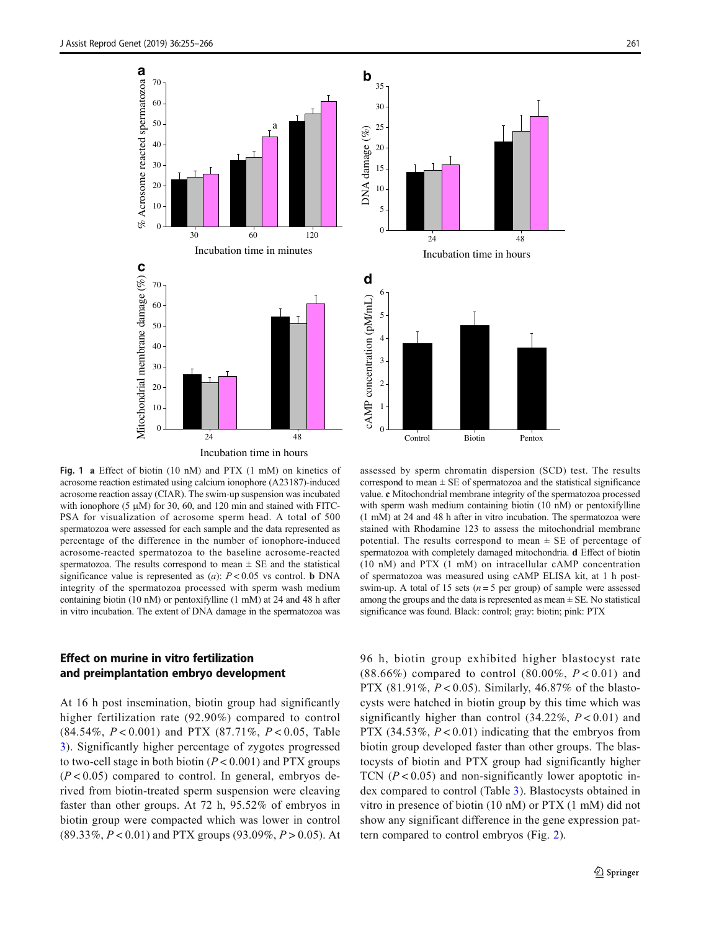<span id="page-6-0"></span>



Fig. 1 a Effect of biotin (10 nM) and PTX (1 mM) on kinetics of acrosome reaction estimated using calcium ionophore (A23187)-induced acrosome reaction assay (CIAR). The swim-up suspension was incubated with ionophore (5  $\mu$ M) for 30, 60, and 120 min and stained with FITC-PSA for visualization of acrosome sperm head. A total of 500 spermatozoa were assessed for each sample and the data represented as percentage of the difference in the number of ionophore-induced acrosome-reacted spermatozoa to the baseline acrosome-reacted spermatozoa. The results correspond to mean  $\pm$  SE and the statistical significance value is represented as  $(a)$ :  $P < 0.05$  vs control. **b** DNA integrity of the spermatozoa processed with sperm wash medium containing biotin (10 nM) or pentoxifylline (1 mM) at 24 and 48 h after in vitro incubation. The extent of DNA damage in the spermatozoa was

### Effect on murine in vitro fertilization and preimplantation embryo development

At 16 h post insemination, biotin group had significantly higher fertilization rate (92.90%) compared to control (84.54%, P < 0.001) and PTX (87.71%, P < 0.05, Table [3](#page-7-0)). Significantly higher percentage of zygotes progressed to two-cell stage in both biotin  $(P < 0.001)$  and PTX groups  $(P < 0.05)$  compared to control. In general, embryos derived from biotin-treated sperm suspension were cleaving faster than other groups. At 72 h, 95.52% of embryos in biotin group were compacted which was lower in control  $(89.33\%, P < 0.01)$  and PTX groups  $(93.09\%, P > 0.05)$ . At

assessed by sperm chromatin dispersion (SCD) test. The results correspond to mean  $\pm$  SE of spermatozoa and the statistical significance value. c Mitochondrial membrane integrity of the spermatozoa processed with sperm wash medium containing biotin (10 nM) or pentoxifylline (1 mM) at 24 and 48 h after in vitro incubation. The spermatozoa were stained with Rhodamine 123 to assess the mitochondrial membrane potential. The results correspond to mean  $\pm$  SE of percentage of spermatozoa with completely damaged mitochondria. d Effect of biotin (10 nM) and PTX (1 mM) on intracellular cAMP concentration of spermatozoa was measured using cAMP ELISA kit, at 1 h postswim-up. A total of 15 sets ( $n = 5$  per group) of sample were assessed among the groups and the data is represented as mean  $\pm$  SE. No statistical significance was found. Black: control; gray: biotin; pink: PTX

96 h, biotin group exhibited higher blastocyst rate (88.66%) compared to control (80.00%,  $P < 0.01$ ) and PTX (81.91%,  $P < 0.05$ ). Similarly, 46.87% of the blastocysts were hatched in biotin group by this time which was significantly higher than control  $(34.22\%, P < 0.01)$  and PTX (34.53%,  $P < 0.01$ ) indicating that the embryos from biotin group developed faster than other groups. The blastocysts of biotin and PTX group had significantly higher TCN  $(P < 0.05)$  and non-significantly lower apoptotic index compared to control (Table [3](#page-7-0)). Blastocysts obtained in vitro in presence of biotin (10 nM) or PTX (1 mM) did not show any significant difference in the gene expression pattern compared to control embryos (Fig. [2](#page-7-0)).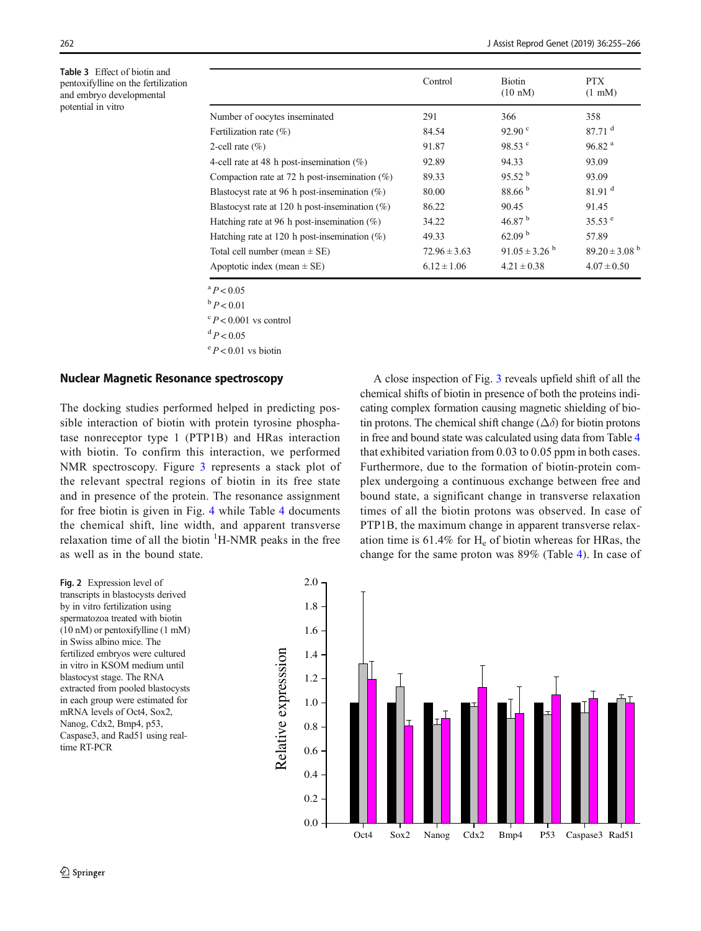<span id="page-7-0"></span>Table 3 Effect of biotin and pentoxifylline on the fertilization and embryo developmental potential in vitro

|                                                   | Control          | <b>Biotin</b><br>$(10 \text{ nM})$ | PTX.<br>$(1 \text{ mM})$    |
|---------------------------------------------------|------------------|------------------------------------|-----------------------------|
| Number of oocytes inseminated                     | 291              | 366                                | 358                         |
| Fertilization rate $(\% )$                        | 84.54            | 92.90 $^{\circ}$                   | 87.71 <sup>d</sup>          |
| 2-cell rate $(\% )$                               | 91.87            | 98.53 <sup>c</sup>                 | 96.82 <sup>a</sup>          |
| 4-cell rate at 48 h post-insemination $(\%)$      | 92.89            | 94.33                              | 93.09                       |
| Compaction rate at 72 h post-insemination $(\%)$  | 89.33            | $95.52^{b}$                        | 93.09                       |
| Blastocyst rate at 96 h post-insemination $(\%)$  | 80.00            | 88.66 <sup>b</sup>                 | 81.91 <sup>d</sup>          |
| Blastocyst rate at 120 h post-insemination $(\%)$ | 86.22            | 90.45                              | 91.45                       |
| Hatching rate at 96 h post-insemination $(\%)$    | 34.22            | 46.87 $^{\rm b}$                   | $35.53^{\circ}$             |
| Hatching rate at 120 h post-insemination $(\%)$   | 49.33            | 62.09 <sup>b</sup>                 | 57.89                       |
| Total cell number (mean $\pm$ SE)                 | $72.96 \pm 3.63$ | $91.05 \pm 3.26^{b}$               | $89.20 \pm 3.08^{\text{b}}$ |
| Apoptotic index (mean $\pm$ SE)                   | $6.12 \pm 1.06$  | $4.21 \pm 0.38$                    | $4.07 \pm 0.50$             |

 $\degree P < 0.05$ 

 $b$   $P < 0.01$  $\mathrm{^{c}}$  P < 0.001 vs control

 $dP < 0.05$ 

 $\mathrm{e}^{\mathrm{e}} P < 0.01$  vs biotin

#### Nuclear Magnetic Resonance spectroscopy

The docking studies performed helped in predicting possible interaction of biotin with protein tyrosine phosphatase nonreceptor type 1 (PTP1B) and HRas interaction with biotin. To confirm this interaction, we performed NMR spectroscopy. Figure [3](#page-8-0) represents a stack plot of the relevant spectral regions of biotin in its free state and in presence of the protein. The resonance assignment for free biotin is given in Fig. [4](#page-8-0) while Table [4](#page-9-0) documents the chemical shift, line width, and apparent transverse relaxation time of all the biotin  $H-MMR$  peaks in the free as well as in the bound state.

A close inspection of Fig. [3](#page-8-0) reveals upfield shift of all the chemical shifts of biotin in presence of both the proteins indicating complex formation causing magnetic shielding of biotin protons. The chemical shift change ( $\Delta\delta$ ) for biotin protons in free and bound state was calculated using data from Table [4](#page-9-0) that exhibited variation from 0.03 to 0.05 ppm in both cases. Furthermore, due to the formation of biotin-protein complex undergoing a continuous exchange between free and bound state, a significant change in transverse relaxation times of all the biotin protons was observed. In case of PTP1B, the maximum change in apparent transverse relaxation time is  $61.4\%$  for  $H_e$  of biotin whereas for HRas, the change for the same proton was 89% (Table [4](#page-9-0)). In case of

Fig. 2 Expression level of transcripts in blastocysts derived by in vitro fertilization using spermatozoa treated with biotin (10 nM) or pentoxifylline (1 mM) in Swiss albino mice. The fertilized embryos were cultured in vitro in KSOM medium until blastocyst stage. The RNA extracted from pooled blastocysts in each group were estimated for mRNA levels of Oct4, Sox2, Nanog, Cdx2, Bmp4, p53, Caspase3, and Rad51 using realtime RT-PCR

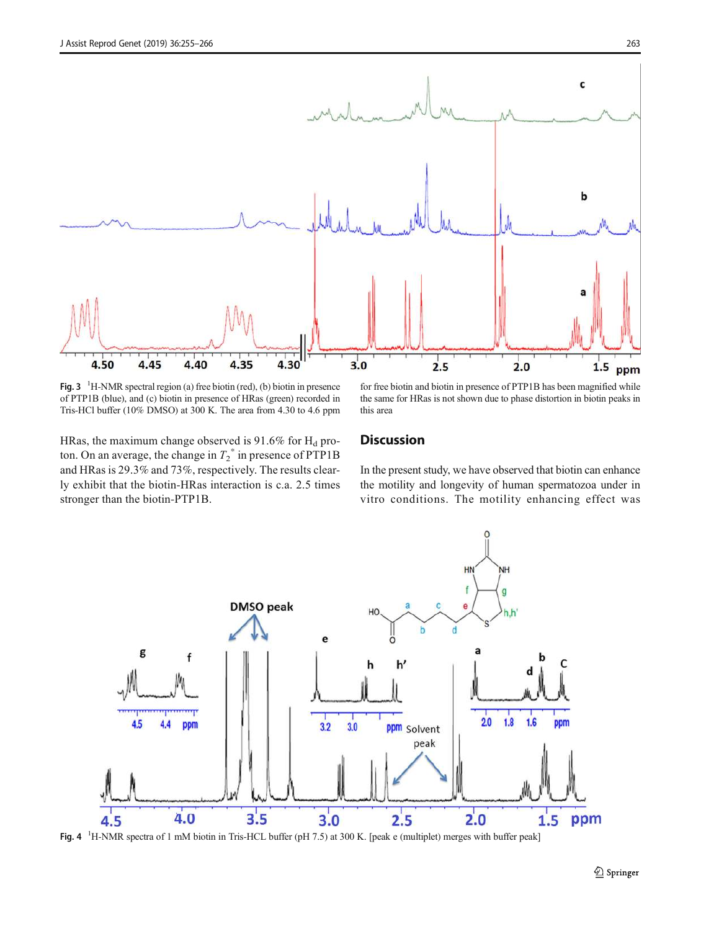<span id="page-8-0"></span>

Fig.  $3<sup>-1</sup>H-NMR$  spectral region (a) free biotin (red), (b) biotin in presence of PTP1B (blue), and (c) biotin in presence of HRas (green) recorded in Tris-HCl buffer (10% DMSO) at 300 K. The area from 4.30 to 4.6 ppm

for free biotin and biotin in presence of PTP1B has been magnified while the same for HRas is not shown due to phase distortion in biotin peaks in this area

HRas, the maximum change observed is  $91.6\%$  for H<sub>d</sub> proton. On an average, the change in  $T_2^*$  in presence of PTP1B and HRas is 29.3% and 73%, respectively. The results clearly exhibit that the biotin-HRas interaction is c.a. 2.5 times stronger than the biotin-PTP1B.

### **Discussion**

In the present study, we have observed that biotin can enhance the motility and longevity of human spermatozoa under in vitro conditions. The motility enhancing effect was



Fig. 4 <sup>1</sup>H-NMR spectra of 1 mM biotin in Tris-HCL buffer (pH 7.5) at 300 K. [peak e (multiplet) merges with buffer peak]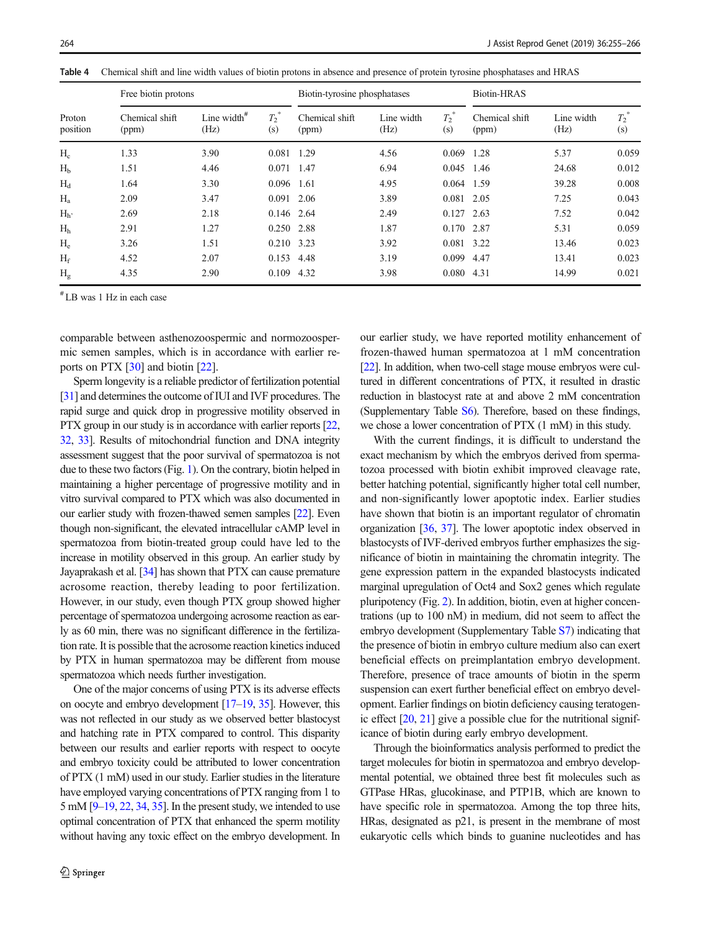| Proton<br>position | Free biotin protons     |                        |                | Biotin-tyrosine phosphatases |                    |                | <b>Biotin-HRAS</b>      |                    |                |
|--------------------|-------------------------|------------------------|----------------|------------------------------|--------------------|----------------|-------------------------|--------------------|----------------|
|                    | Chemical shift<br>(ppm) | Line width $#$<br>(Hz) | $T_2^*$<br>(s) | Chemical shift<br>(ppm)      | Line width<br>(Hz) | $T_2^*$<br>(s) | Chemical shift<br>(ppm) | Line width<br>(Hz) | $T_2^*$<br>(s) |
| $H_c$              | 1.33                    | 3.90                   | 0.081          | 1.29                         | 4.56               | 0.069          | 1.28                    | 5.37               | 0.059          |
| H <sub>b</sub>     | 1.51                    | 4.46                   | 0.071          | 1.47                         | 6.94               | 0.045 1.46     |                         | 24.68              | 0.012          |
| $H_d$              | 1.64                    | 3.30                   | 0.096          | 1.61                         | 4.95               | 0.064 1.59     |                         | 39.28              | 0.008          |
| $H_{a}$            | 2.09                    | 3.47                   | 0.091          | 2.06                         | 3.89               | 0.081 2.05     |                         | 7.25               | 0.043          |
| $H_h$              | 2.69                    | 2.18                   | 0.146 2.64     |                              | 2.49               | $0.127$ 2.63   |                         | 7.52               | 0.042          |
| H <sub>h</sub>     | 2.91                    | 1.27                   | 0.250 2.88     |                              | 1.87               | 0.170 2.87     |                         | 5.31               | 0.059          |
| $H_e$              | 3.26                    | 1.51                   | 0.210 3.23     |                              | 3.92               | 0.081 3.22     |                         | 13.46              | 0.023          |
| $H_f$              | 4.52                    | 2.07                   | 0.153          | 4.48                         | 3.19               | 0.099          | 4.47                    | 13.41              | 0.023          |
| H <sub>g</sub>     | 4.35                    | 2.90                   | 0.109          | 4.32                         | 3.98               | 0.080          | 4.31                    | 14.99              | 0.021          |

<span id="page-9-0"></span>Table 4 Chemical shift and line width values of biotin protons in absence and presence of protein tyrosine phosphatases and HRAS

# LB was 1 Hz in each case

comparable between asthenozoospermic and normozoospermic semen samples, which is in accordance with earlier reports on PTX [[30](#page-11-0)] and biotin [\[22](#page-10-0)].

Sperm longevity is a reliable predictor of fertilization potential [\[31](#page-11-0)] and determines the outcome of IUI and IVF procedures. The rapid surge and quick drop in progressive motility observed in PTX group in our study is in accordance with earlier reports [\[22,](#page-10-0) [32](#page-11-0), [33\]](#page-11-0). Results of mitochondrial function and DNA integrity assessment suggest that the poor survival of spermatozoa is not due to these two factors (Fig. [1\)](#page-6-0). On the contrary, biotin helped in maintaining a higher percentage of progressive motility and in vitro survival compared to PTX which was also documented in our earlier study with frozen-thawed semen samples [\[22\]](#page-10-0). Even though non-significant, the elevated intracellular cAMP level in spermatozoa from biotin-treated group could have led to the increase in motility observed in this group. An earlier study by Jayaprakash et al. [\[34\]](#page-11-0) has shown that PTX can cause premature acrosome reaction, thereby leading to poor fertilization. However, in our study, even though PTX group showed higher percentage of spermatozoa undergoing acrosome reaction as early as 60 min, there was no significant difference in the fertilization rate. It is possible that the acrosome reaction kinetics induced by PTX in human spermatozoa may be different from mouse spermatozoa which needs further investigation.

One of the major concerns of using PTX is its adverse effects on oocyte and embryo development [\[17](#page-10-0)–[19,](#page-10-0) [35](#page-11-0)]. However, this was not reflected in our study as we observed better blastocyst and hatching rate in PTX compared to control. This disparity between our results and earlier reports with respect to oocyte and embryo toxicity could be attributed to lower concentration of PTX (1 mM) used in our study. Earlier studies in the literature have employed varying concentrations of PTX ranging from 1 to 5 mM [\[9](#page-10-0)–[19](#page-10-0), [22](#page-10-0), [34,](#page-11-0) [35](#page-11-0)]. In the present study, we intended to use optimal concentration of PTX that enhanced the sperm motility without having any toxic effect on the embryo development. In our earlier study, we have reported motility enhancement of frozen-thawed human spermatozoa at 1 mM concentration [\[22](#page-10-0)]. In addition, when two-cell stage mouse embryos were cultured in different concentrations of PTX, it resulted in drastic reduction in blastocyst rate at and above 2 mM concentration (Supplementary Table S6). Therefore, based on these findings, we chose a lower concentration of PTX (1 mM) in this study.

With the current findings, it is difficult to understand the exact mechanism by which the embryos derived from spermatozoa processed with biotin exhibit improved cleavage rate, better hatching potential, significantly higher total cell number, and non-significantly lower apoptotic index. Earlier studies have shown that biotin is an important regulator of chromatin organization [\[36](#page-11-0), [37](#page-11-0)]. The lower apoptotic index observed in blastocysts of IVF-derived embryos further emphasizes the significance of biotin in maintaining the chromatin integrity. The gene expression pattern in the expanded blastocysts indicated marginal upregulation of Oct4 and Sox2 genes which regulate pluripotency (Fig. [2\)](#page-7-0). In addition, biotin, even at higher concentrations (up to 100 nM) in medium, did not seem to affect the embryo development (Supplementary Table S7) indicating that the presence of biotin in embryo culture medium also can exert beneficial effects on preimplantation embryo development. Therefore, presence of trace amounts of biotin in the sperm suspension can exert further beneficial effect on embryo development. Earlier findings on biotin deficiency causing teratogenic effect [\[20,](#page-10-0) [21\]](#page-10-0) give a possible clue for the nutritional significance of biotin during early embryo development.

Through the bioinformatics analysis performed to predict the target molecules for biotin in spermatozoa and embryo developmental potential, we obtained three best fit molecules such as GTPase HRas, glucokinase, and PTP1B, which are known to have specific role in spermatozoa. Among the top three hits, HRas, designated as p21, is present in the membrane of most eukaryotic cells which binds to guanine nucleotides and has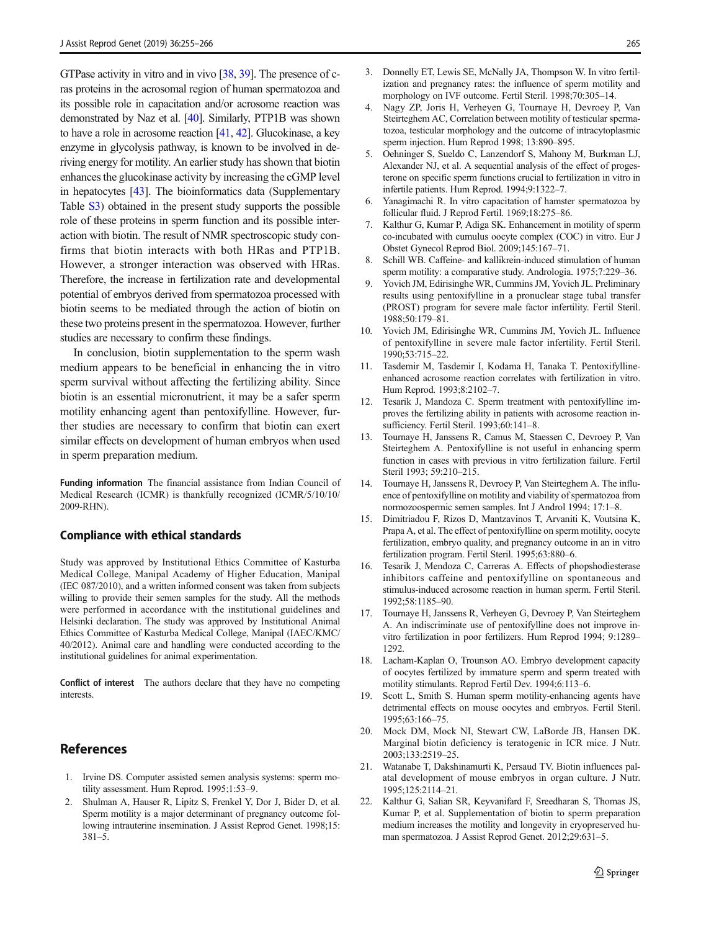<span id="page-10-0"></span>GTPase activity in vitro and in vivo [\[38,](#page-11-0) [39\]](#page-11-0). The presence of cras proteins in the acrosomal region of human spermatozoa and its possible role in capacitation and/or acrosome reaction was demonstrated by Naz et al. [\[40\]](#page-11-0). Similarly, PTP1B was shown to have a role in acrosome reaction [[41,](#page-11-0) [42](#page-11-0)]. Glucokinase, a key enzyme in glycolysis pathway, is known to be involved in deriving energy for motility. An earlier study has shown that biotin enhances the glucokinase activity by increasing the cGMP level in hepatocytes [\[43\]](#page-11-0). The bioinformatics data (Supplementary Table S3) obtained in the present study supports the possible role of these proteins in sperm function and its possible interaction with biotin. The result of NMR spectroscopic study confirms that biotin interacts with both HRas and PTP1B. However, a stronger interaction was observed with HRas. Therefore, the increase in fertilization rate and developmental potential of embryos derived from spermatozoa processed with biotin seems to be mediated through the action of biotin on these two proteins present in the spermatozoa. However, further studies are necessary to confirm these findings.

In conclusion, biotin supplementation to the sperm wash medium appears to be beneficial in enhancing the in vitro sperm survival without affecting the fertilizing ability. Since biotin is an essential micronutrient, it may be a safer sperm motility enhancing agent than pentoxifylline. However, further studies are necessary to confirm that biotin can exert similar effects on development of human embryos when used in sperm preparation medium.

Funding information The financial assistance from Indian Council of Medical Research (ICMR) is thankfully recognized (ICMR/5/10/10/ 2009-RHN).

#### Compliance with ethical standards

Study was approved by Institutional Ethics Committee of Kasturba Medical College, Manipal Academy of Higher Education, Manipal (IEC 087/2010), and a written informed consent was taken from subjects willing to provide their semen samples for the study. All the methods were performed in accordance with the institutional guidelines and Helsinki declaration. The study was approved by Institutional Animal Ethics Committee of Kasturba Medical College, Manipal (IAEC/KMC/ 40/2012). Animal care and handling were conducted according to the institutional guidelines for animal experimentation.

Conflict of interest The authors declare that they have no competing **interests** 

### References

- 1. Irvine DS. Computer assisted semen analysis systems: sperm motility assessment. Hum Reprod. 1995;1:53–9.
- 2. Shulman A, Hauser R, Lipitz S, Frenkel Y, Dor J, Bider D, et al. Sperm motility is a major determinant of pregnancy outcome following intrauterine insemination. J Assist Reprod Genet. 1998;15: 381–5.
- 3. Donnelly ET, Lewis SE, McNally JA, Thompson W. In vitro fertilization and pregnancy rates: the influence of sperm motility and morphology on IVF outcome. Fertil Steril. 1998;70:305–14.
- 4. Nagy ZP, Joris H, Verheyen G, Tournaye H, Devroey P, Van Steirteghem AC, Correlation between motility of testicular spermatozoa, testicular morphology and the outcome of intracytoplasmic sperm injection. Hum Reprod 1998; 13:890–895.
- 5. Oehninger S, Sueldo C, Lanzendorf S, Mahony M, Burkman LJ, Alexander NJ, et al. A sequential analysis of the effect of progesterone on specific sperm functions crucial to fertilization in vitro in infertile patients. Hum Reprod. 1994;9:1322–7.
- Yanagimachi R. In vitro capacitation of hamster spermatozoa by follicular fluid. J Reprod Fertil. 1969;18:275–86.
- 7. Kalthur G, Kumar P, Adiga SK. Enhancement in motility of sperm co-incubated with cumulus oocyte complex (COC) in vitro. Eur J Obstet Gynecol Reprod Biol. 2009;145:167–71.
- 8. Schill WB. Caffeine- and kallikrein-induced stimulation of human sperm motility: a comparative study. Andrologia. 1975;7:229–36.
- 9. Yovich JM, Edirisinghe WR, Cummins JM, Yovich JL. Preliminary results using pentoxifylline in a pronuclear stage tubal transfer (PROST) program for severe male factor infertility. Fertil Steril. 1988;50:179–81.
- 10. Yovich JM, Edirisinghe WR, Cummins JM, Yovich JL. Influence of pentoxifylline in severe male factor infertility. Fertil Steril. 1990;53:715–22.
- 11. Tasdemir M, Tasdemir I, Kodama H, Tanaka T. Pentoxifyllineenhanced acrosome reaction correlates with fertilization in vitro. Hum Reprod. 1993;8:2102–7.
- 12. Tesarik J, Mandoza C. Sperm treatment with pentoxifylline improves the fertilizing ability in patients with acrosome reaction insufficiency. Fertil Steril. 1993;60:141–8.
- 13. Tournaye H, Janssens R, Camus M, Staessen C, Devroey P, Van Steirteghem A. Pentoxifylline is not useful in enhancing sperm function in cases with previous in vitro fertilization failure. Fertil Steril 1993; 59:210–215.
- 14. Tournaye H, Janssens R, Devroey P, Van Steirteghem A. The influence of pentoxifylline on motility and viability of spermatozoa from normozoospermic semen samples. Int J Androl 1994; 17:1–8.
- 15. Dimitriadou F, Rizos D, Mantzavinos T, Arvaniti K, Voutsina K, Prapa A, et al. The effect of pentoxifylline on sperm motility, oocyte fertilization, embryo quality, and pregnancy outcome in an in vitro fertilization program. Fertil Steril. 1995;63:880–6.
- 16. Tesarik J, Mendoza C, Carreras A. Effects of phopshodiesterase inhibitors caffeine and pentoxifylline on spontaneous and stimulus-induced acrosome reaction in human sperm. Fertil Steril. 1992;58:1185–90.
- 17. Tournaye H, Janssens R, Verheyen G, Devroey P, Van Steirteghem A. An indiscriminate use of pentoxifylline does not improve invitro fertilization in poor fertilizers. Hum Reprod 1994; 9:1289– 1292.
- 18. Lacham-Kaplan O, Trounson AO. Embryo development capacity of oocytes fertilized by immature sperm and sperm treated with motility stimulants. Reprod Fertil Dev. 1994;6:113–6.
- 19. Scott L, Smith S. Human sperm motility-enhancing agents have detrimental effects on mouse oocytes and embryos. Fertil Steril. 1995;63:166–75.
- 20. Mock DM, Mock NI, Stewart CW, LaBorde JB, Hansen DK. Marginal biotin deficiency is teratogenic in ICR mice. J Nutr. 2003;133:2519–25.
- 21. Watanabe T, Dakshinamurti K, Persaud TV. Biotin influences palatal development of mouse embryos in organ culture. J Nutr. 1995;125:2114–21.
- 22. Kalthur G, Salian SR, Keyvanifard F, Sreedharan S, Thomas JS, Kumar P, et al. Supplementation of biotin to sperm preparation medium increases the motility and longevity in cryopreserved human spermatozoa. J Assist Reprod Genet. 2012;29:631–5.